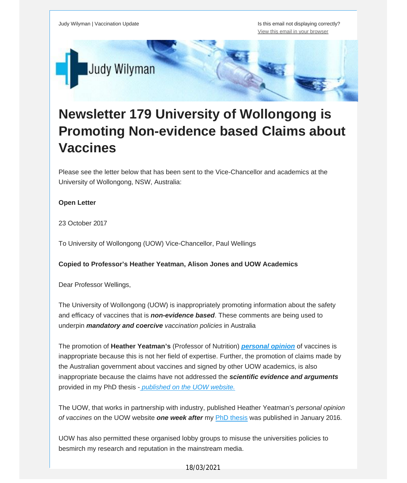Judy Wilyman | Vaccination Update **Is the Islam Contract of the Islam Contract** Is this email not displaying correctly? View this email in your [browser](http://mailchi.mp/c09433da9eac/newsletter-179-university-of-wollongong-uow-is-promoting-non-evidence-based-claims-about-vaccines?e=fec8337d3c)



# **Newsletter 179 University of Wollongong is Promoting Non-evidence based Claims about Vaccines**

Please see the letter below that has been sent to the Vice-Chancellor and academics at the University of Wollongong, NSW, Australia:

### **Open Letter**

23 October 2017

To University of Wollongong (UOW) Vice-Chancellor, Paul Wellings

#### **Copied to Professor's Heather Yeatman, Alison Jones and UOW Academics**

Dear Professor Wellings,

The University of Wollongong (UOW) is inappropriately promoting information about the safety and efficacy of vaccines that is *non-evidence based*. These comments are being used to underpin *mandatory and coercive vaccination policies* in Australia

The promotion of **Heather Yeatman's** (Professor of Nutrition) *[personal](https://vaccinationdecisions.us8.list-manage.com/track/click?u=f20605fde3732e41929f4a3f2&id=d2ec2ff1f8&e=fec8337d3c) opinion* of vaccines is inappropriate because this is not her field of expertise. Further, the promotion of claims made by the Australian government about vaccines and signed by other UOW academics, is also inappropriate because the claims have not addressed the *scientific evidence and arguments* provided in my PhD thesis - *[published](https://vaccinationdecisions.us8.list-manage.com/track/click?u=f20605fde3732e41929f4a3f2&id=8e8b91d51e&e=fec8337d3c) on the UOW website.*

The UOW, that works in partnership with industry, published Heather Yeatman's *personal opinion of vaccines* on the UOW website *one week after* my PhD [thesis](https://vaccinationdecisions.us8.list-manage.com/track/click?u=f20605fde3732e41929f4a3f2&id=02de1c1755&e=fec8337d3c) was published in January 2016.

UOW has also permitted these organised lobby groups to misuse the universities policies to besmirch my research and reputation in the mainstream media.

18/03/2021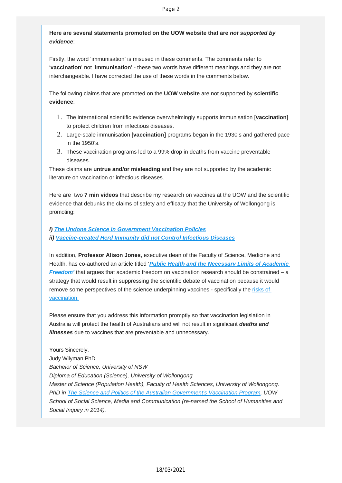## **Here are several statements promoted on the UOW website that are** *not supported by evidence*:

Firstly, the word 'immunisation' is misused in these comments. The comments refer to '**vaccination**' not '**immunisation**' - these two words have different meanings and they are not interchangeable. I have corrected the use of these words in the comments below.

The following claims that are promoted on the **UOW website** are not supported by **scientific evidence**:

- 1. The international scientific evidence overwhelmingly supports immunisation [**vaccination**] to protect children from infectious diseases.
- 2. Large-scale immunisation [**vaccination]** programs began in the 1930's and gathered pace in the 1950's.
- 3. These vaccination programs led to a 99% drop in deaths from vaccine preventable diseases.

These claims are **untrue and/or misleading** and they are not supported by the academic literature on vaccination or infectious diseases.

Here are two **7 min videos** that describe my research on vaccines at the UOW and the scientific evidence that debunks the claims of safety and efficacy that the University of Wollongong is promoting:

## *i) [The Undone Science in Government Vaccination Policies](https://vaccinationdecisions.us8.list-manage.com/track/click?u=f20605fde3732e41929f4a3f2&id=013c4791c1&e=fec8337d3c) ii) [Vaccine-created Herd Immunity did not Control Infectious Diseases](https://vaccinationdecisions.us8.list-manage.com/track/click?u=f20605fde3732e41929f4a3f2&id=2a6112b743&e=fec8337d3c)*

In addition, **Professor Alison Jones**, executive dean of the Faculty of Science, Medicine and Health, has co-authored an article titled '*[Public Health and the Necessary Limits of Academic](https://vaccinationdecisions.us8.list-manage.com/track/click?u=f20605fde3732e41929f4a3f2&id=442aa9fa69&e=fec8337d3c) [Freedom'](https://vaccinationdecisions.us8.list-manage.com/track/click?u=f20605fde3732e41929f4a3f2&id=442aa9fa69&e=fec8337d3c)* that argues that academic freedom on vaccination research should be constrained – a strategy that would result in suppressing the scientific debate of vaccination because it would remove some perspectives of the science underpinning vaccines - specifically the [risks of](https://vaccinationdecisions.us8.list-manage.com/track/click?u=f20605fde3732e41929f4a3f2&id=85e415e1ef&e=fec8337d3c)  [vaccination.](https://vaccinationdecisions.us8.list-manage.com/track/click?u=f20605fde3732e41929f4a3f2&id=85e415e1ef&e=fec8337d3c)

Please ensure that you address this information promptly so that vaccination legislation in Australia will protect the health of Australians and will not result in significant *deaths and illnesses* due to vaccines that are preventable and unnecessary.

Yours Sincerely, Judy Wilyman PhD *Bachelor of Science, University of NSW Diploma of Education (Science), University of Wollongong Master of Science (Population Health), Faculty of Health Sciences, University of Wollongong. PhD in [The Science and Politics of the Australian Government's Vaccination Program](https://vaccinationdecisions.us8.list-manage.com/track/click?u=f20605fde3732e41929f4a3f2&id=18fe42940c&e=fec8337d3c), UOW School of Social Science, Media and Communication (re-named the School of Humanities and Social Inquiry in 2014).*